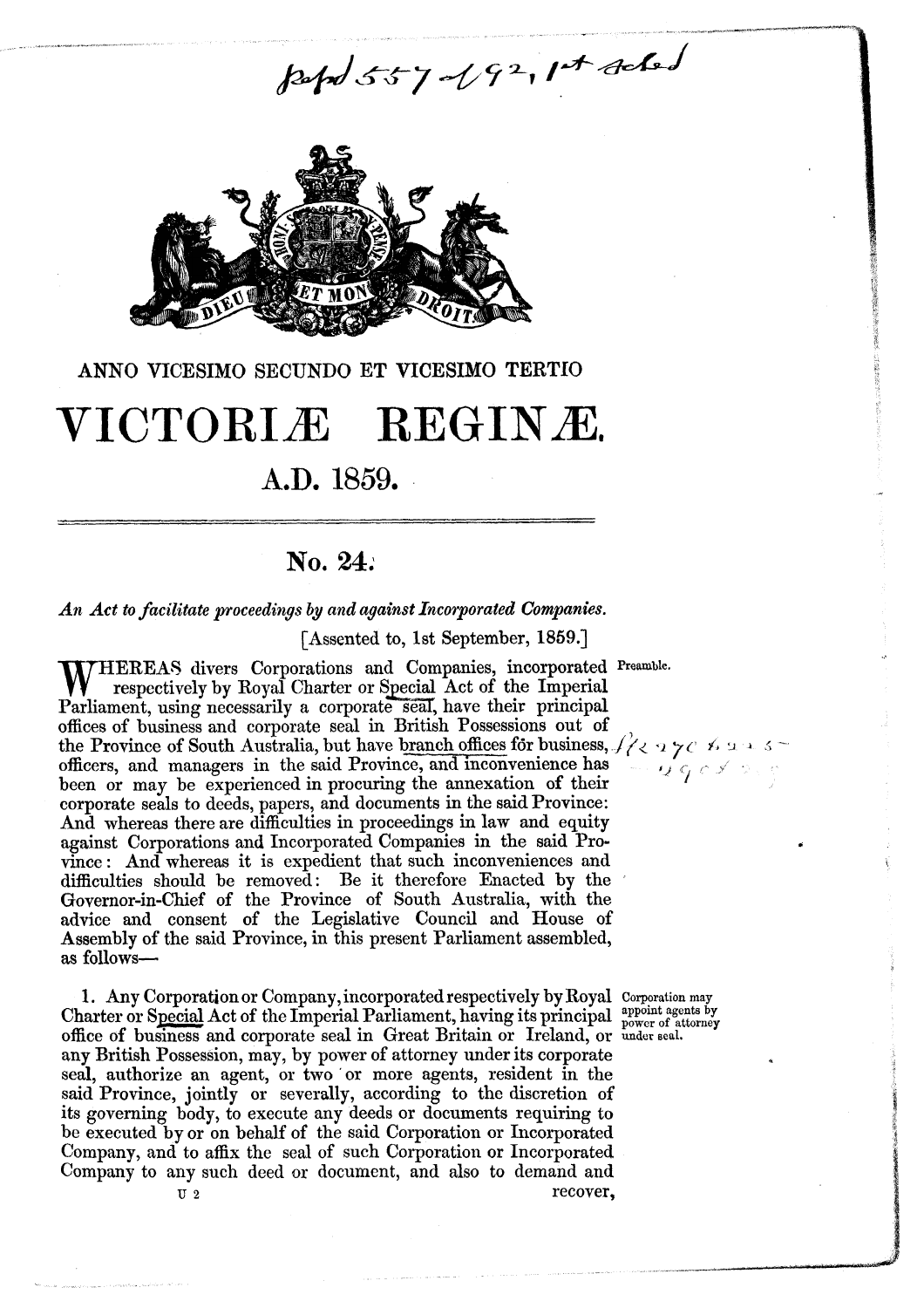pept 557-192, 1st sched



#### **ANNO** VICESIMO SECUNDO ET VICESIMO **TERTIO**

# VICTORIÆ REGINÆ.

## **A.D.** 1859.

### **No, 24:**

*An Act to facilitate proceedings by and* **against** *Incorporated Companies.* 

[Assented to, 1st September, 1859.]

W **HEREAS** divers Corporations and Companies, incorporated **Preamble.**  respectively by Royal Charter or Special Act of the Imperial Parliament, using necessarily a corporate seal, have their principal offices of business and corporate seal in British Possessions out **of**  offices of business and corporate seal in British Possessions out of<br>the Province of South Australia, but have <u>branch offices</u> for business,  $\int_{1}^{3}$   $\langle 2 \rangle$   $\gamma$   $\sim$   $\beta$   $\sim$   $\beta$ officers, and managers in the said Province, and inconvenience has  $\frac{1}{\sqrt{2}}$ been or may be experienced in procuring the annexation of their corporate seals to deeds, papers, and documents in the said Province: And whereas there are difficulties in proceedings in law and equity against Corporations and Incorporated Companies in the said Province: And whereas it is expedient that such inconveniences and difficulties should be removed: Be it therefore Enacted by thc Governor-in-Chief of the Province of South Australia, with the advice and consent of the Legislative Council and House of Assembly of the said Province, in this present Parliament assembled, **as** follows-

1. **Any** Corporation or Company, incorporated respectively by Royal Corporation **my**  Charter or Special Act of the Imperial Parliament, having its principal  $_{\text{power of attractor}}^{\text{arpoint agents by}}$ office of business and corporate seal in Great Britain or Ireland, or **under aeal.**  any British Possession, may, by power of attorney under its corporate seal, authorize an agent, or two 'or more agents, resident in the said Province, jointly or severally, according to the discretion of its governing body, to execute any deeds or documents requiring to be executed by or on behalf of the said Corporation or Incorporated Company, and to affix thc seal of such Corporation or Incorporated Company to any such deed **or** document, and also to demand and U **2** recover,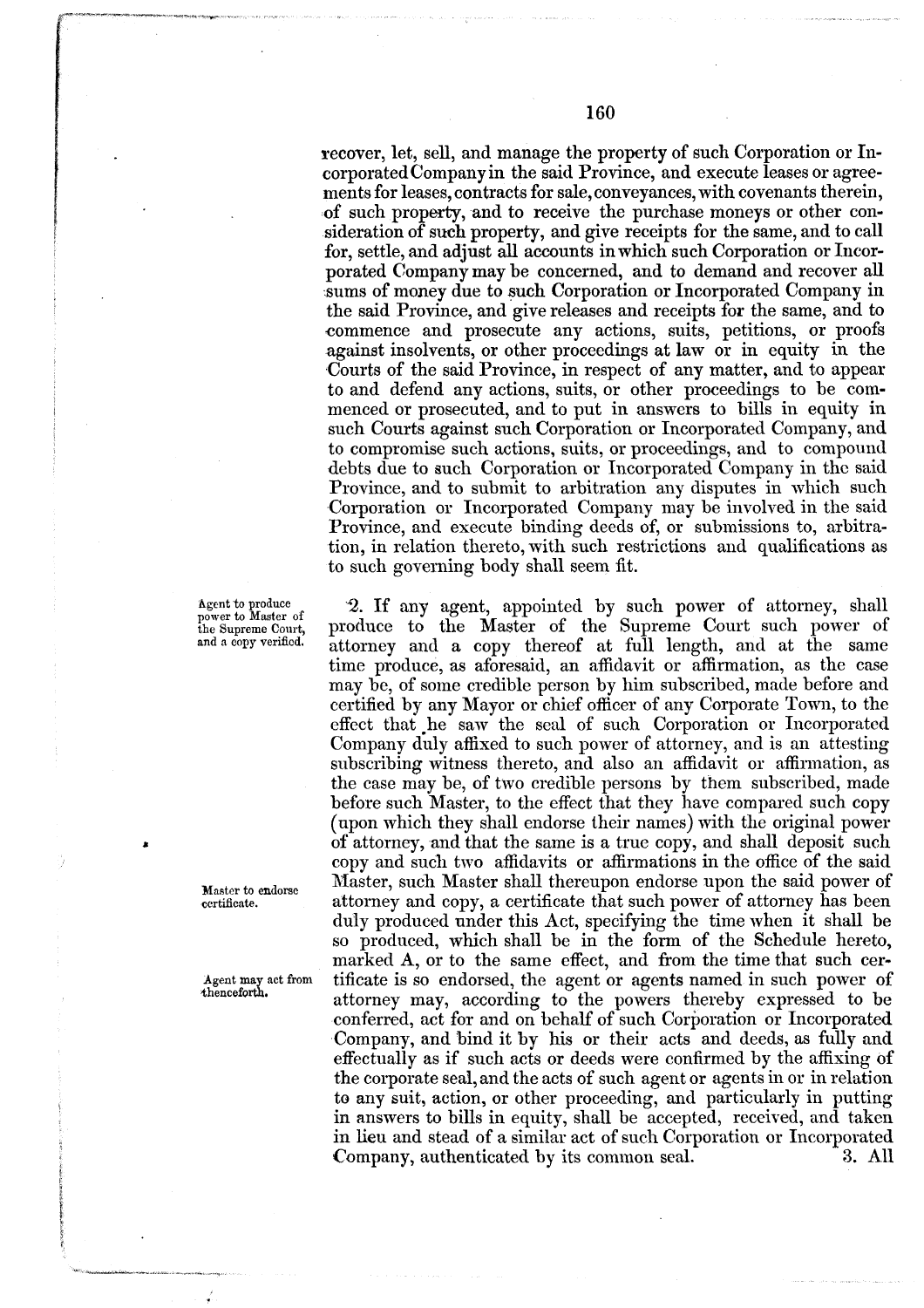recover, let, sell, and manage the property of such Corporation or Incorporated Company in the said Province, and execute leases or agreements for leases, contracts for sale,conveyances, with covenants therein, of such property, and to receive the purchase moneys or other consideration of such property, and give receipts for the same, and to call for, settle, and adjust all accounts in which such Corporation or Incorporated Company may be concerned, and to demand and recover all sums of money due to such Corporation or Incorporated Company in the said Province, and give releases and receipts for the same, and to commence and prosecute any actions, suits, petitions, or proofs against insolvents, or other proceedings at law or in equity in the Courts of the said Province, in respect of any matter, and to appear to and defend any actions, suits, or other proceedings to be commenced or prosecuted, and to put in answers to bills in equity in such Courts against such Corporation or Incorporated Company, and to compromise such actions, suits, or proceedings, and to compound debts due to such Corporation or Incorporated Company in the said Province, and to submit to arbitration any disputes in which such Corporation or Incorporated Company may be involwd in the said Province, and execute binding deeds of, or submissions to, arbitration, in relation thereto, with such restrictions and qualifications as to such governing body shall seem fit.

*2.* If any agent, appointed by such power of attorney, shall produce to the Master of the Supreme Court such power of attorney and a copy thereof at full length, and at the same time produce, as aforesaid, an affidavit or affirmation, as the case may be, of some credible person by him subscribed, made before and certified by any Mayor or chief officer of any Corporate Town, to the effcct that .he saw the seal **of** such Corporation or Incorporatcd Company duly affixed to such power of attorney, and is an attesting subscribing witness thereto, and also an affidavit or affirmation, as the case may be, of two crcdiblc persons by them subscribed, made before such Master, to the effect that they have compard such copy (npon which they shall endorse their names) with the original power of attorney, and that the same is a true copy, and shall deposit such copy and such two affidavits or affirmations in the office of the said Master, such Master shall thereupon endorse upon the said power of attorney and copy, a certificate that such power of attorncy has been duly produced under this Act, specifying the time when it shall be so produced, which shall be in the form of the Schedule hereto, marked **A,** or to the same effect, and from the time that such certificate is so endorsed, the agent or agents named in such power of attorney may, according to the powers thereby expressed to be conferred, act for and on behalf of such Corporation or Incorporated Company, and bind it by his or their acts and deeds, as fully and effectually as if such acts or deeds were confirmed by the affixing of the corporate seal, and the acts of such agent or agents in or in relation to any suit;, action, or other proceeding, and particularly in putting in answers to bills in equity, shall be accepted, received, and **taken**  in lieu and stead of a similar act of such Corporation or Incorporated Company, authenticated by its connuon seal. **3.** All

**dgcnt to produce power to Mastcr of**  the **Supreme Court,**  and a copy verified.

Master **to cndorsc ccrtifimte.** 

Agent **may** act from thenceforth.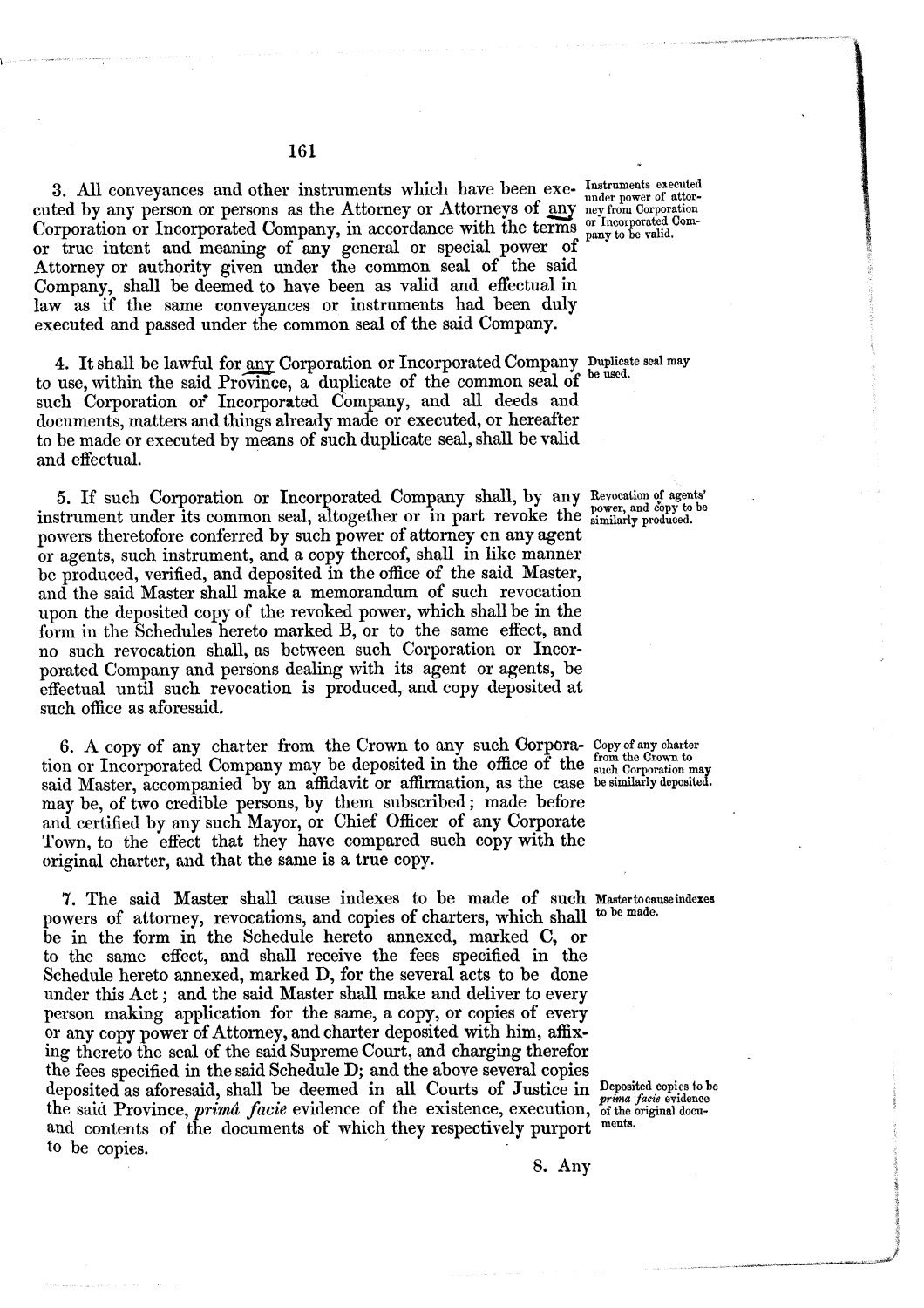3. All conveyances and other instruments which have been exe- Instruments executed cuted by any person or persons as the Attorney or Attorneys of any neyfrom Corporation Corporation or Incorporated Company, in accordance with the terms  $_{\text{pany to be valid}}^{\text{or Incorported Com-}}$ or true intent and meaning of any general or special power of Attorney or authority given under the common seal of the said Company, shall be deemed to have been as valid and effectual in law as if the same conveyances or instruments had been duly executed and passed under the common seal of the said Company.

4. It shall be lawful for any Corporation or Incorporated Company Duplicate seal may to use, within the said Province, a duplicate of the common seal of such Corporation of Incorporated Company, and all deeds and documents, matters and things already made or executed, or hereafter to be made or executed by means of such duplicate seal, shall be valid and effectual.

5. If such Corporation or Incorporated Company shall, by any Revocation of agents' instrument under its common seal, altogether or in part revoke the **similarly produced.**  powers theretofore conferred by such power of attorney cn any agent or agents, such instrument, and a copy thereof, shall in like manner be produced, verified, and deposited in the office of the said Master, and the said Master shall make a memorandum of such revocation upon the deposited copy of the revoked power, which shall be in the form in the Schedules hereto marked B, or to the same effect, and no such revocation shall, as between such Corporation or Incorporated Company and persons dealing with its agent or agents, be effectual until such revocation is produced, and copy deposited at such office as aforesaid.

6. A copy of any charter from the Crown to any such Gorpora- Copy of any charter tion or Incorporated Company may be deposited in the office of the such Corporation may said Master, accompanied by an affidavit or affirmation, as the case be similarly deposited. may be, of two credible persons, by them subscribed ; made before and certified by any such Mayor, or Chief Officer of any Corporate Town, to the effect that they have compared such copy with the original charter, and that the same is a true copy.

7. The said Master shall cause indexes to be made of such **Maatertocauseindexes**  powers of attorney, revocations, and copies of charters, which shall be in the form in the Schedule hereto annexed, marked C, or to the same effect, and shall receive the fees specified in the Schedule hereto annexed, marked D, for the several acts to be done under this Act ; and the said Master shall make and deliver to every person making application for the same, a copy, or copies of every or any copy power of Attorney, and charter deposited with him, affixing thereto the seal of the said Supreme Court, and charging therefor the fees specified in the said Schedule D; and the above several copies deposited as aforesaid, shall be deemed in all Courts of Justice in Deposited copies to be deposited as alotesaid, shall be declined in all courts of busined in *prima facie* evidence<br>the said Province, *prima facie* evidence of the existence, execution, of the original docu-<br>and contents of the decuments of whi and contents of the documents of which they respectively purport **to** be copies.

**8. Any**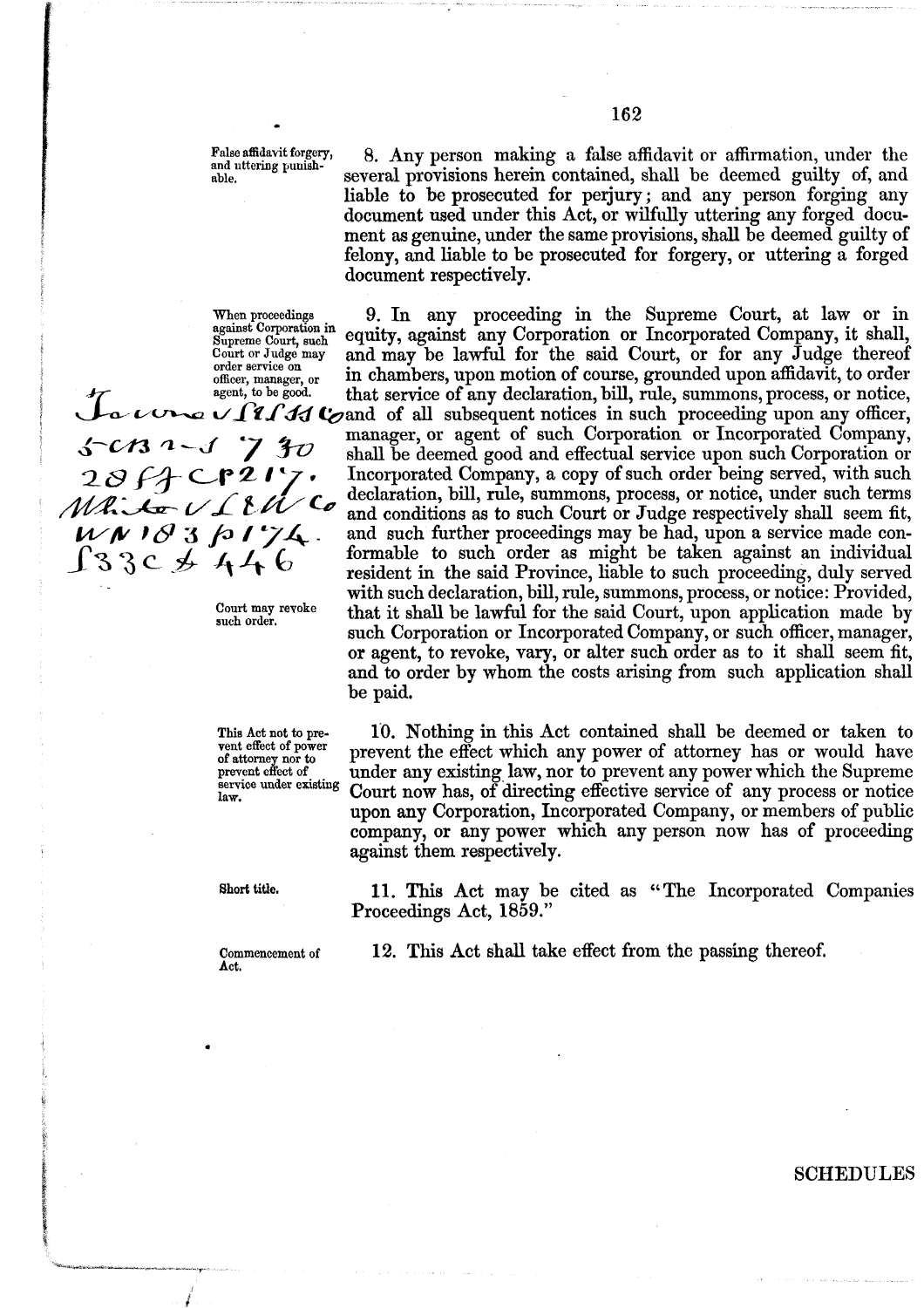False affidavit forgery, 8. Any person making a false affidavit or affirmation, under the and uttering punish-<br>
several provisions herein contained, shall be deemed guilty of, and

When proceedings<br>against Corporation in<br>Supreme Court, such<br>Court or Judge may

document respectively. **When proceedings 9. In** any proceeding in the Supreme Court, at law or in equity, against any Corporation or Incorporated Company, it shall,

Court or Judge may and may be lawful for the said Court, or for any Judge thereof order service on order service on officer, manager, or in chambers, upon motion of course, grounded upon affidavit, to order agent, to be good. that service of any declaration, bill, rule, summons, process, or notice, agent, to be good. that service of any declaration, bill, rule, summons, process, or notice, **r/fk'xdd** Qand of **all** subsequent notices in such proceeding upon any officer,  $a - f$  7  $g$  manager, or agent of such Corporation or Incorporated Company,  $a - f$   $g$   $g$  and be deemed good and effectual service upon such Corporation or  $28f$   $-27f$   $70$  shall be deemed good and effectual service upon such Corporation or<br> $28f$   $-217$ , Incorporated Company, a copy of such order being served, with such<br>declaration bill rule summons process or notice under *MALEVIEW Co* declaration, bill, rule, summons, process, or notice, under such terms<br>*MALEVIEW Co* and conditions as to such Court or Judge respectively shall seem fit, and conditions as to such Court or Judge respectively shall seem fit,  $W \wedge B$  3  $\beta$  /  $\gamma A$  and such further proceedings may be had, upon a service made con-<br>  $\int 3 \, 3 \, c \not\rightarrow A + C$  formable to such order as might be taken against an individual registered in the seid Prevince liable to such formable to such order as might be taken against an individual resident in the said Province, liable to such proceeding, duly served with such declaration, bill, rule, summons, process, or notice: Provided, Court may revoke **that it shall be lawful for the said Court**, upon application made by such Corporation or Incorporated Company, or such officer, manager, or agent, to revoke, vary, or alter such order as to it shall seem fit, and to order by whom the costs arising from such application shall be paid.

**vent effect of power** 

This Act not to pre- 10. Nothing in this Act contained shall be deemed or taken to **of attorney nor to**<br> **of attorney nor to**<br> **of attorney has or would have**<br> **of attorney has or would have**<br> **of attorney has or would have**<br> **of attorney has or would have**<br> **of attorney has or would have** prevent effect of **ander any existing law, nor to prevent any power which the Supreme service under existing Court now has, of directing effective service of any process or notice** Court now has, of directing effective service of any process or notice upon any Corporation, Incorporated Company, or members of public company, or any power which any person now has of proceeding against them respectively.

**abort title. 11. This Act may be cited as "The Incorporated Companies"** Proceedings Act, 1859."

**Act.** 

**Commencement** of **12.** This Act shall take effect from thc passing thereof.

several provisions herein contained, shall be deemed guilty of, and liable to be prosecuted for perjury; and any person forging any document used under this Act, or wilfully uttering any forged document as genuine, under the same provisions, shall be deemed guilty of felony, and liable to be prosecuted for forgery, or uttering a forged

SCHEDULES